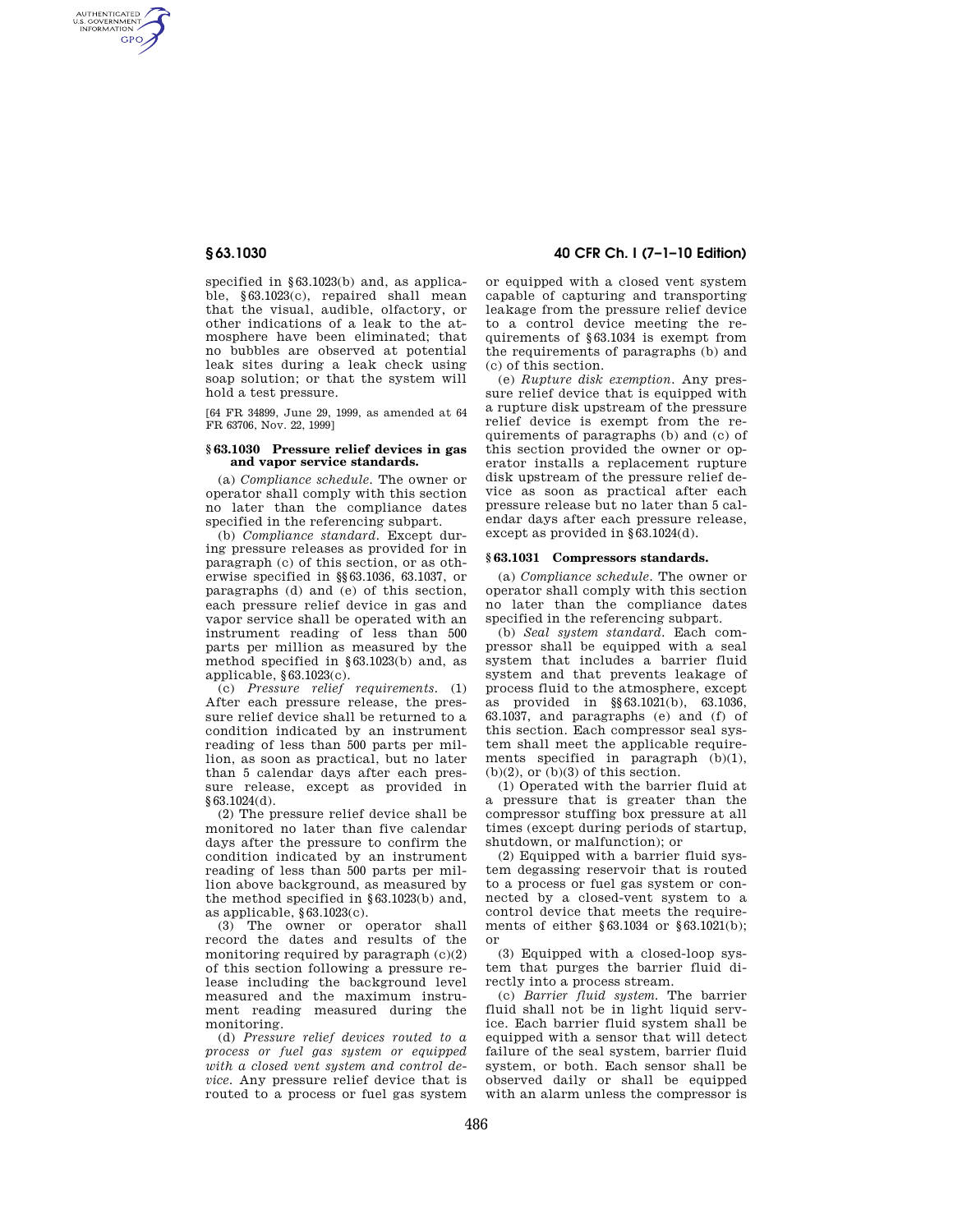AUTHENTICATED<br>U.S. GOVERNMENT<br>INFORMATION **GPO** 

> specified in §63.1023(b) and, as applicable, §63.1023(c), repaired shall mean that the visual, audible, olfactory, or other indications of a leak to the atmosphere have been eliminated; that no bubbles are observed at potential leak sites during a leak check using soap solution; or that the system will hold a test pressure.

[64 FR 34899, June 29, 1999, as amended at 64 FR 63706, Nov. 22, 1999]

#### **§ 63.1030 Pressure relief devices in gas and vapor service standards.**

(a) *Compliance schedule.* The owner or operator shall comply with this section no later than the compliance dates specified in the referencing subpart.

(b) *Compliance standard.* Except during pressure releases as provided for in paragraph (c) of this section, or as otherwise specified in §§63.1036, 63.1037, or paragraphs (d) and (e) of this section, each pressure relief device in gas and vapor service shall be operated with an instrument reading of less than 500 parts per million as measured by the method specified in §63.1023(b) and, as applicable, §63.1023(c).

(c) *Pressure relief requirements.* (1) After each pressure release, the pressure relief device shall be returned to a condition indicated by an instrument reading of less than 500 parts per million, as soon as practical, but no later than 5 calendar days after each pressure release, except as provided in §63.1024(d).

(2) The pressure relief device shall be monitored no later than five calendar days after the pressure to confirm the condition indicated by an instrument reading of less than 500 parts per million above background, as measured by the method specified in §63.1023(b) and, as applicable, §63.1023(c).

(3) The owner or operator shall record the dates and results of the monitoring required by paragraph  $(c)(2)$ of this section following a pressure release including the background level measured and the maximum instrument reading measured during the monitoring.

(d) *Pressure relief devices routed to a process or fuel gas system or equipped with a closed vent system and control device.* Any pressure relief device that is routed to a process or fuel gas system

# **§ 63.1030 40 CFR Ch. I (7–1–10 Edition)**

or equipped with a closed vent system capable of capturing and transporting leakage from the pressure relief device to a control device meeting the requirements of §63.1034 is exempt from the requirements of paragraphs (b) and (c) of this section.

(e) *Rupture disk exemption.* Any pressure relief device that is equipped with a rupture disk upstream of the pressure relief device is exempt from the requirements of paragraphs (b) and (c) of this section provided the owner or operator installs a replacement rupture disk upstream of the pressure relief device as soon as practical after each pressure release but no later than 5 calendar days after each pressure release, except as provided in §63.1024(d).

### **§ 63.1031 Compressors standards.**

(a) *Compliance schedule.* The owner or operator shall comply with this section no later than the compliance dates specified in the referencing subpart.

(b) *Seal system standard.* Each compressor shall be equipped with a seal system that includes a barrier fluid system and that prevents leakage of process fluid to the atmosphere, except as provided in §§63.1021(b), 63.1036, 63.1037, and paragraphs (e) and (f) of this section. Each compressor seal system shall meet the applicable requirements specified in paragraph (b)(1),  $(b)(2)$ , or  $(b)(3)$  of this section.

(1) Operated with the barrier fluid at a pressure that is greater than the compressor stuffing box pressure at all times (except during periods of startup, shutdown, or malfunction); or

(2) Equipped with a barrier fluid system degassing reservoir that is routed to a process or fuel gas system or connected by a closed-vent system to a control device that meets the requirements of either §63.1034 or §63.1021(b); or

(3) Equipped with a closed-loop system that purges the barrier fluid directly into a process stream.

(c) *Barrier fluid system.* The barrier fluid shall not be in light liquid service. Each barrier fluid system shall be equipped with a sensor that will detect failure of the seal system, barrier fluid system, or both. Each sensor shall be observed daily or shall be equipped with an alarm unless the compressor is